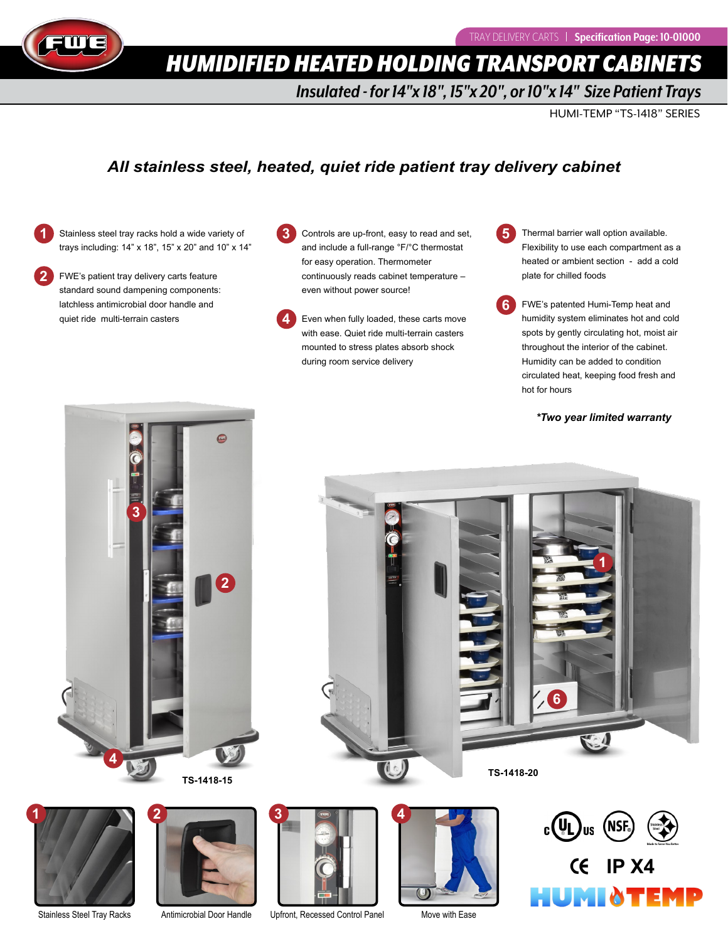

**1**

**2**

# *HUMIDIFIED HEATED HOLDING TRANSPORT CABINETS*

*Insulated - for 14"x 18", 15"x 20", or 10"x 14" Size Patient Trays*

HUMI-TEMP "TS-1418" SERIES

### *All stainless steel, heated, quiet ride patient tray delivery cabinet*

Stainless steel tray racks hold a wide variety of trays including: 14" x 18", 15" x 20" and 10" x 14"

FWE's patient tray delivery carts feature standard sound dampening components: latchless antimicrobial door handle and quiet ride multi-terrain casters

**3** Controls are up-front, easy to read and set, and include a full-range °F/°C thermostat for easy operation. Thermometer continuously reads cabinet temperature – even without power source!

**4** Even when fully loaded, these carts move with ease. Quiet ride multi-terrain casters mounted to stress plates absorb shock during room service delivery

**5** Thermal barrier wall option available. Flexibility to use each compartment as a heated or ambient section - add a cold plate for chilled foods

**6** FWE's patented Humi-Temp heat and humidity system eliminates hot and cold spots by gently circulating hot, moist air throughout the interior of the cabinet. Humidity can be added to condition circulated heat, keeping food fresh and hot for hours

*\*Two year limited warranty*











Antimicrobial Door Handle





Stainless Steel Tray Racks Antimicrobial Door Handle Upfront, Recessed Control Panel Move with Ease